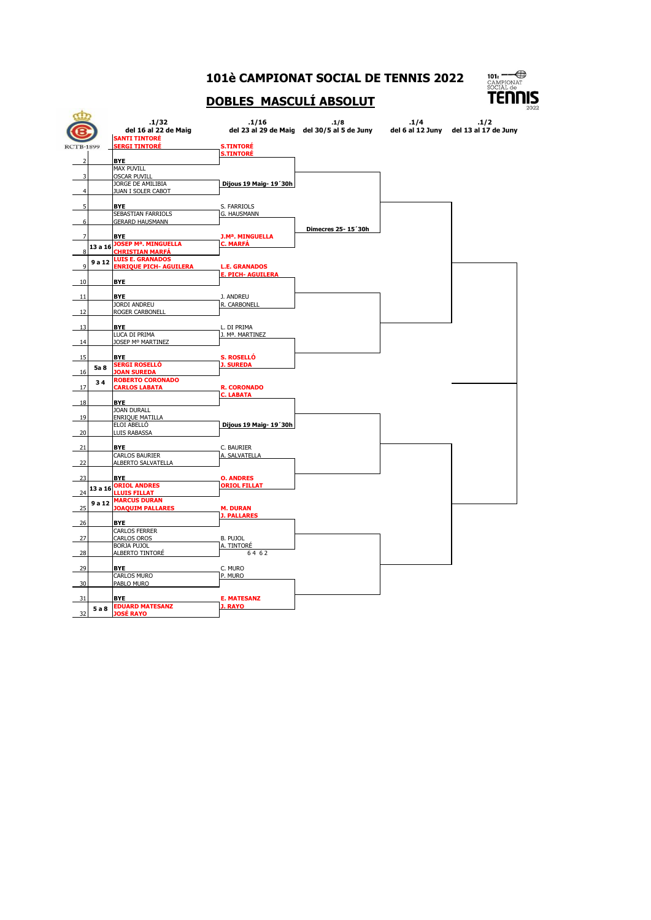## **101è CAMPIONAT SOCIAL DE TENNIS 2022**



## **DOBLES MASCULÍ ABSOLUT**

|                          |         | .1/32<br>del 16 al 22 de Maig<br><b>SANTI TINTORÉ</b> | .1/16                                            | .1/8<br>del 23 al 29 de Maig del 30/5 al 5 de Juny | .1/4. | .1/2<br>del 6 al 12 Juny del 13 al 17 de Juny |
|--------------------------|---------|-------------------------------------------------------|--------------------------------------------------|----------------------------------------------------|-------|-----------------------------------------------|
| <b>RCTB-1899</b>         |         | <b>SERGI TINTORÉ</b>                                  | <b>S.TINTORÉ</b><br><b>S.TINTORÉ</b>             |                                                    |       |                                               |
| $\overline{\phantom{a}}$ |         | <b>BYE</b>                                            |                                                  |                                                    |       |                                               |
|                          |         | <b>MAX PUVILL</b>                                     |                                                  |                                                    |       |                                               |
| 3                        |         | <b>OSCAR PUVILL</b><br>JORGE DE AMILIBIA              | Dijous 19 Maig- 19'30h                           |                                                    |       |                                               |
| 4                        |         | JUAN I SOLER CABOT                                    |                                                  |                                                    |       |                                               |
|                          |         |                                                       |                                                  |                                                    |       |                                               |
| $\overline{\phantom{a}}$ |         | <b>BYF</b><br>SEBASTIAN FARRIOLS                      | S. FARRIOLS<br>G. HAUSMANN                       |                                                    |       |                                               |
| 6                        |         | <b>GERARD HAUSMANN</b>                                |                                                  |                                                    |       |                                               |
|                          |         |                                                       |                                                  | Dimecres 25-15'30h                                 |       |                                               |
|                          |         | <b>BYE</b><br><b>JOSEP Mª. MINGUELLA</b>              | <b>J.Mª. MINGUELLA</b><br><b>C. MARFÁ</b>        |                                                    |       |                                               |
|                          | 13 a 16 | <b>CHRISTIAN MARFÁ</b>                                |                                                  |                                                    |       |                                               |
|                          | 9 a 12  | <b>LUIS E. GRANADOS</b>                               |                                                  |                                                    |       |                                               |
| q                        |         | <b>ENRIQUE PICH- AGUILERA</b>                         | <b>L.E. GRANADOS</b><br><b>E. PICH- AGUILERA</b> |                                                    |       |                                               |
| 10                       |         | <b>BYE</b>                                            |                                                  |                                                    |       |                                               |
| 11                       |         | <b>BYE</b>                                            | J. ANDREU                                        |                                                    |       |                                               |
|                          |         | <b>JORDI ANDREU</b>                                   | R. CARBONELL                                     |                                                    |       |                                               |
| 12                       |         | ROGER CARBONELL                                       |                                                  |                                                    |       |                                               |
| 13                       |         | <b>BYE</b>                                            | L. DI PRIMA                                      |                                                    |       |                                               |
|                          |         | LUCA DI PRIMA                                         | J. Mª. MARTINEZ                                  |                                                    |       |                                               |
| 14                       |         | JOSEP Mº MARTINEZ                                     |                                                  |                                                    |       |                                               |
| 15                       |         | <b>BYE</b>                                            | <b>S. ROSELLÓ</b>                                |                                                    |       |                                               |
|                          | 5a 8    | <b>SERGI ROSELLÓ</b>                                  | <b>J. SUREDA</b>                                 |                                                    |       |                                               |
| 16                       |         | <b>JOAN SUREDA</b><br><b>ROBERTO CORONADO</b>         |                                                  |                                                    |       |                                               |
| 17                       | 34      | <b>CARLOS LABATA</b>                                  | <b>R. CORONADO</b>                               |                                                    |       |                                               |
|                          |         |                                                       | <b>C. LABATA</b>                                 |                                                    |       |                                               |
| 18                       |         | <b>BYE</b><br><b>JOAN DURALL</b>                      |                                                  |                                                    |       |                                               |
| 19                       |         | <b>ENRIQUE MATILLA</b>                                |                                                  |                                                    |       |                                               |
|                          |         | ELOI ABELLO                                           | Dijous 19 Maig- 19'30h                           |                                                    |       |                                               |
| 20                       |         | <b>LUIS RABASSA</b>                                   |                                                  |                                                    |       |                                               |
| 21                       |         | <b>BYE</b>                                            | C. BAURIER                                       |                                                    |       |                                               |
| 22                       |         | <b>CARLOS BAURIER</b><br>ALBERTO SALVATELLA           | A. SALVATELLA                                    |                                                    |       |                                               |
|                          |         |                                                       |                                                  |                                                    |       |                                               |
| 23                       |         | <b>BYE</b>                                            | <b>O. ANDRES</b>                                 |                                                    |       |                                               |
| 24                       |         | 13 a 16 ORIOL ANDRES<br><b>LLUIS FILLAT</b>           | <b>ORIOL FILLAT</b>                              |                                                    |       |                                               |
|                          | 9 a 12  | <b>MARCUS DURAN</b>                                   |                                                  |                                                    |       |                                               |
| 25                       |         | <b>JOAQUIM PALLARES</b>                               | <b>M. DURAN</b><br><b>J. PALLARES</b>            |                                                    |       |                                               |
| 26                       |         | <b>BYE</b>                                            |                                                  |                                                    |       |                                               |
|                          |         | <b>CARLOS FERRER</b>                                  |                                                  |                                                    |       |                                               |
| 27                       |         | <b>CARLOS OROS</b><br><b>BORJA PUJOL</b>              | <b>B. PUJOL</b><br>A. TINTORÉ                    |                                                    |       |                                               |
| 28                       |         | ALBERTO TINTORÉ                                       | 64 62                                            |                                                    |       |                                               |
|                          |         |                                                       |                                                  |                                                    |       |                                               |
| 29                       |         | <b>BYE</b><br><b>CARLOS MURO</b>                      | C. MURO<br>P. MURO                               |                                                    |       |                                               |
| 30                       |         | PABLO MURO                                            |                                                  |                                                    |       |                                               |
| 31                       |         | <b>BYE</b>                                            | <b>E. MATESANZ</b>                               |                                                    |       |                                               |
|                          | 5 a 8   | <b>EDUARD MATESANZ</b>                                | J. RAYO                                          |                                                    |       |                                               |
| 32                       |         | <b>JOSÉ RAYO</b>                                      |                                                  |                                                    |       |                                               |